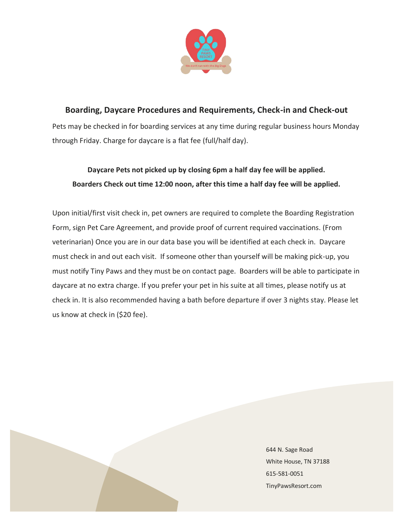

#### **Boarding, Daycare Procedures and Requirements, Check-in and Check-out**

Pets may be checked in for boarding services at any time during regular business hours Monday through Friday. Charge for daycare is a flat fee (full/half day).

# **Daycare Pets not picked up by closing 6pm a half day fee will be applied. Boarders Check out time 12:00 noon, after this time a half day fee will be applied.**

Upon initial/first visit check in, pet owners are required to complete the Boarding Registration Form, sign Pet Care Agreement, and provide proof of current required vaccinations. (From veterinarian) Once you are in our data base you will be identified at each check in. Daycare must check in and out each visit. If someone other than yourself will be making pick-up, you must notify Tiny Paws and they must be on contact page. Boarders will be able to participate in daycare at no extra charge. If you prefer your pet in his suite at all times, please notify us at check in. It is also recommended having a bath before departure if over 3 nights stay. Please let us know at check in (\$20 fee).

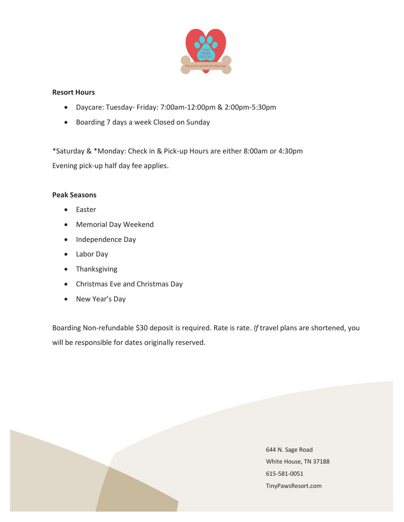

#### **Resort Hours**

- Daycare: Tuesday- Friday: 7:00am-12:00pm & 2:00pm-5:30pm
- Boarding 7 days a week Closed on Sunday

\*Saturday & \*Monday: Check in & Pick-up Hours are either 8:00am or 4:30pm Evening pick-up half day fee applies.

#### **Peak Seasons**

- Easter
- Memorial Day Weekend
- Independence Day
- Labor Day
- Thanksgiving
- Christmas Eve and Christmas Day
- New Year's Day

Boarding Non-refundable \$30 deposit is required. Rate is rate. *If* travel plans are shortened, you will be responsible for dates originally reserved.

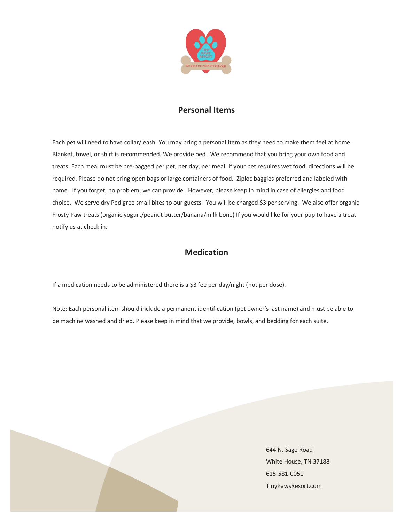

## **Personal Items**

Each pet will need to have collar/leash. You may bring a personal item as they need to make them feel at home. Blanket, towel, or shirt is recommended. We provide bed. We recommend that you bring your own food and treats. Each meal must be pre-bagged per pet, per day, per meal. If your pet requires wet food, directions will be required. Please do not bring open bags or large containers of food. Ziploc baggies preferred and labeled with name. If you forget, no problem, we can provide. However, please keep in mind in case of allergies and food choice. We serve dry Pedigree small bites to our guests. You will be charged \$3 per serving. We also offer organic Frosty Paw treats (organic yogurt/peanut butter/banana/milk bone) If you would like for your pup to have a treat notify us at check in.

## **Medication**

If a medication needs to be administered there is a \$3 fee per day/night (not per dose).

Note: Each personal item should include a permanent identification (pet owner's last name) and must be able to be machine washed and dried. Please keep in mind that we provide, bowls, and bedding for each suite.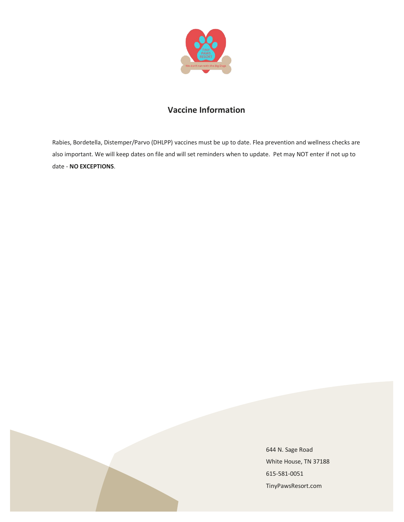

## **Vaccine Information**

Rabies, Bordetella, Distemper/Parvo (DHLPP) vaccines must be up to date. Flea prevention and wellness checks are also important. We will keep dates on file and will set reminders when to update. Pet may NOT enter if not up to date - **NO EXCEPTIONS**.